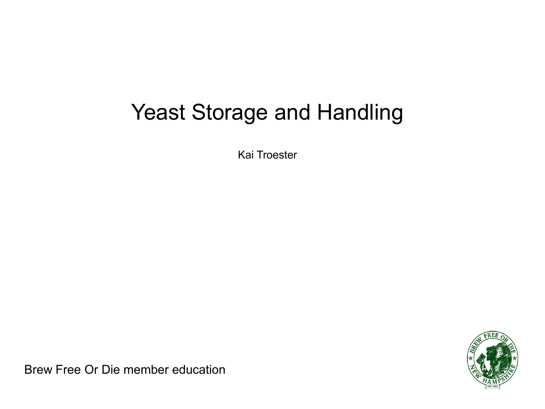#### Yeast Storage and Handling

Kai Troester



Brew Free Or Die member education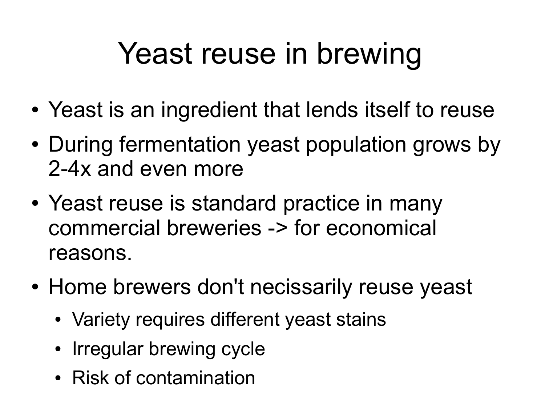# Yeast reuse in brewing

- Yeast is an ingredient that lends itself to reuse
- During fermentation yeast population grows by 2-4x and even more
- Yeast reuse is standard practice in many commercial breweries -> for economical reasons.
- Home brewers don't necissarily reuse yeast
	- Variety requires different yeast stains
	- Irregular brewing cycle
	- Risk of contamination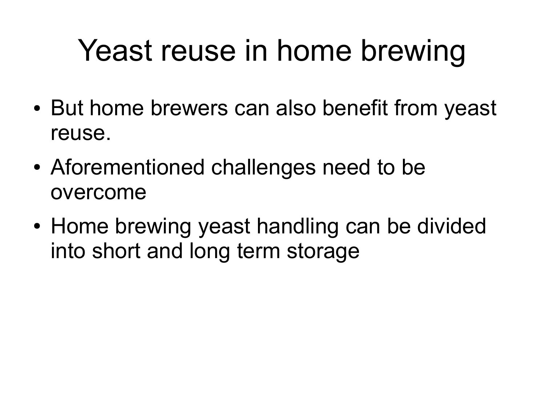### Yeast reuse in home brewing

- But home brewers can also benefit from yeast reuse.
- Aforementioned challenges need to be overcome
- Home brewing yeast handling can be divided into short and long term storage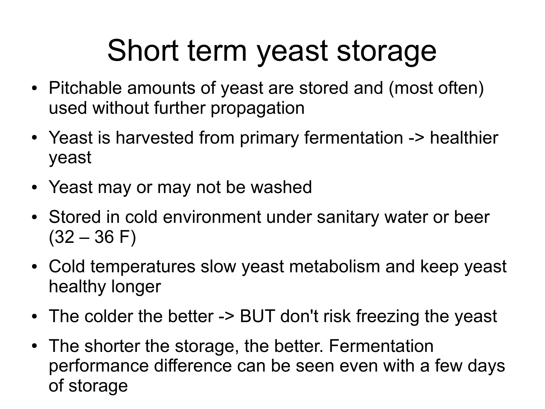### Short term yeast storage

- Pitchable amounts of yeast are stored and (most often) used without further propagation
- Yeast is harvested from primary fermentation -> healthier yeast
- Yeast may or may not be washed
- Stored in cold environment under sanitary water or beer  $(32 - 36)$  F)
- Cold temperatures slow yeast metabolism and keep yeast healthy longer
- The colder the better -> BUT don't risk freezing the yeast
- The shorter the storage, the better. Fermentation performance difference can be seen even with a few days of storage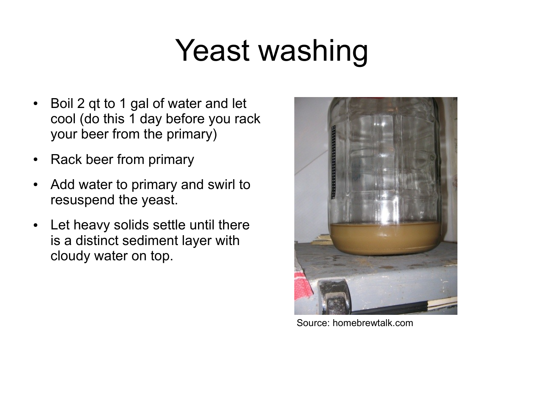## Yeast washing

- Boil 2 qt to 1 gal of water and let cool (do this 1 day before you rack your beer from the primary)
- Rack beer from primary
- Add water to primary and swirl to resuspend the yeast.
- Let heavy solids settle until there is a distinct sediment layer with cloudy water on top.



Source: homebrewtalk.com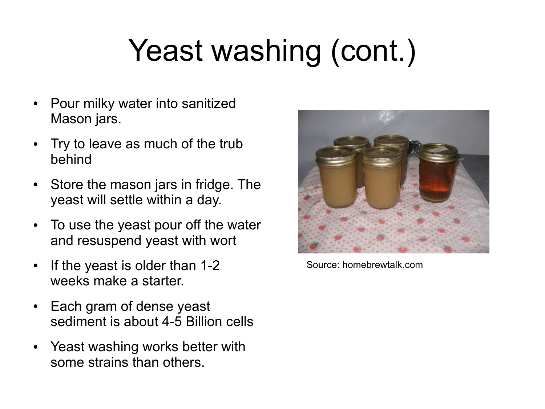# Yeast washing (cont.)

- Pour milky water into sanitized Mason jars.
- Try to leave as much of the trub behind
- Store the mason jars in fridge. The yeast will settle within a day.
- To use the yeast pour off the water and resuspend yeast with wort
- If the yeast is older than 1-2 weeks make a starter.
- Each gram of dense yeast sediment is about 4-5 Billion cells
- Yeast washing works better with some strains than others.



Source: homebrewtalk.com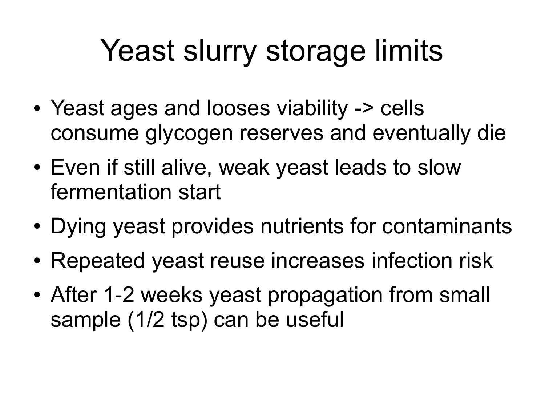## Yeast slurry storage limits

- Yeast ages and looses viability -> cells consume glycogen reserves and eventually die
- Even if still alive, weak yeast leads to slow fermentation start
- Dying yeast provides nutrients for contaminants
- Repeated yeast reuse increases infection risk
- After 1-2 weeks yeast propagation from small sample (1/2 tsp) can be useful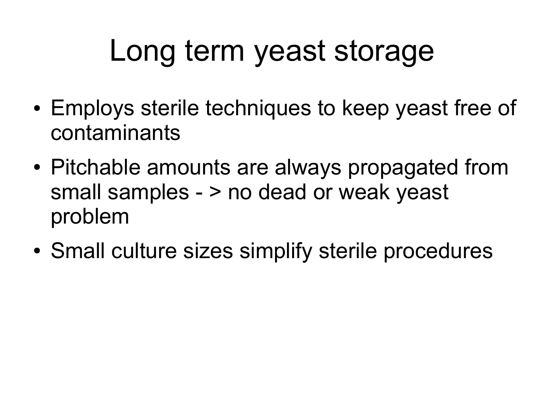## Long term yeast storage

- Employs sterile techniques to keep yeast free of contaminants
- Pitchable amounts are always propagated from small samples - > no dead or weak yeast problem
- Small culture sizes simplify sterile procedures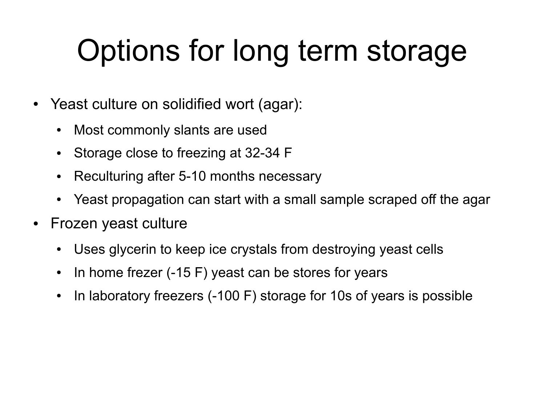## Options for long term storage

- Yeast culture on solidified wort (agar):
	- Most commonly slants are used
	- Storage close to freezing at 32-34 F
	- Reculturing after 5-10 months necessary
	- Yeast propagation can start with a small sample scraped off the agar
- Frozen yeast culture
	- Uses glycerin to keep ice crystals from destroying yeast cells
	- In home frezer  $(-15 F)$  yeast can be stores for years
	- In laboratory freezers (-100 F) storage for 10s of years is possible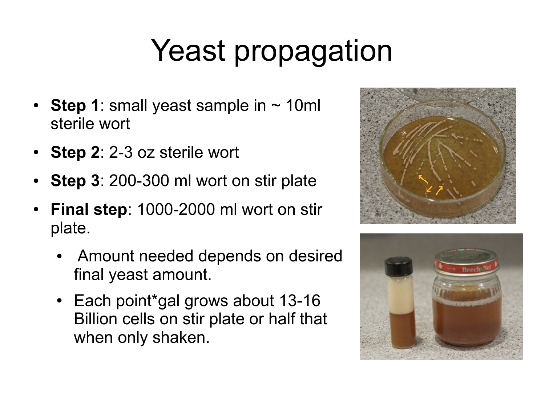# Yeast propagation

- **Step 1**: small yeast sample in  $\sim$  10ml sterile wort
- **Step 2**: 2-3 oz sterile wort
- **Step 3**: 200-300 ml wort on stir plate
- **Final step**: 1000-2000 ml wort on stir plate.
	- Amount needed depends on desired final yeast amount.
	- Each point\*gal grows about 13-16 Billion cells on stir plate or half that when only shaken.



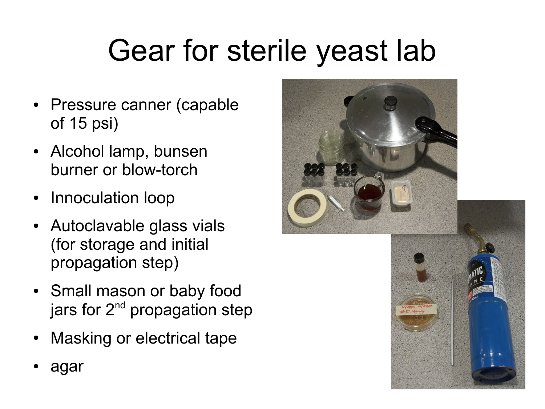# Gear for sterile yeast lab

- Pressure canner (capable of 15 psi)
- Alcohol lamp, bunsen burner or blow-torch
- Innoculation loop
- Autoclavable glass vials (for storage and initial propagation step)
- Small mason or baby food jars for  $2^{nd}$  propagation step
- Masking or electrical tape
- agar